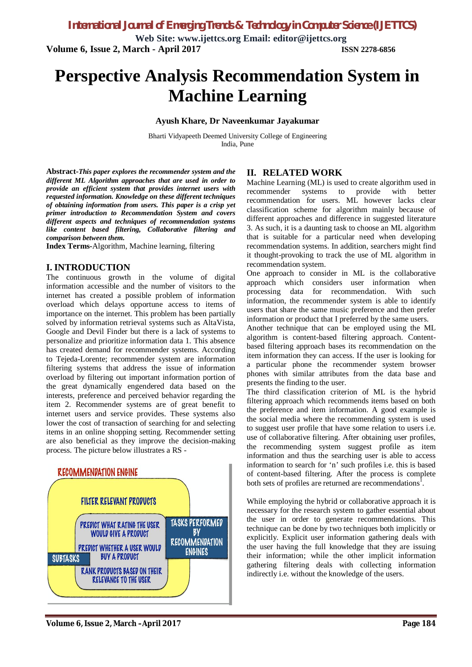**Web Site: www.ijettcs.org Email: editor@ijettcs.org Volume 6, Issue 2, March - April 2017 ISSN 2278-6856**

# **Perspective Analysis Recommendation System in Machine Learning**

#### **Ayush Khare, Dr Naveenkumar Jayakumar**

Bharti Vidyapeeth Deemed University College of Engineering India, Pune

**Abstract-***This paper explores the recommender system and the different ML Algorithm approaches that are used in order to provide an efficient system that provides internet users with requested information. Knowledge on these different techniques of obtaining information from users. This paper is a crisp yet primer introduction to Recommendation System and covers different aspects and techniques of recommendation systems like content based filtering, Collaborative filtering and comparison between them.*

**Index Terms-**Algorithm, Machine learning, filtering

#### **I. INTRODUCTION**

The continuous growth in the volume of digital information accessible and the number of visitors to the internet has created a possible problem of information overload which delays opportune access to items of importance on the internet. This problem has been partially solved by information retrieval systems such as AltaVista, Google and Devil Finder but there is a lack of systems to personalize and prioritize information data 1. This absence has created demand for recommender systems. According to Tejeda-Lorente; recommender system are information filtering systems that address the issue of information overload by filtering out important information portion of the great dynamically engendered data based on the interests, preference and perceived behavior regarding the item 2. Recommender systems are of great benefit to internet users and service provides. These systems also lower the cost of transaction of searching for and selecting items in an online shopping setting. Recommender setting are also beneficial as they improve the decision-making process. The picture below illustrates a RS -



#### **II. RELATED WORK**

Machine Learning (ML) is used to create algorithm used in recommender systems to provide with better recommendation for users. ML however lacks clear classification scheme for algorithm mainly because of different approaches and difference in suggested literature 3. As such, it is a daunting task to choose an ML algorithm that is suitable for a particular need when developing recommendation systems. In addition, searchers might find it thought-provoking to track the use of ML algorithm in recommendation system.

One approach to consider in ML is the collaborative approach which considers user information when processing data for recommendation. With such information, the recommender system is able to identify users that share the same music preference and then prefer information or product that I preferred by the same users.

Another technique that can be employed using the ML algorithm is content-based filtering approach. Contentbased filtering approach bases its recommendation on the item information they can access. If the user is looking for a particular phone the recommender system browser phones with similar attributes from the data base and presents the finding to the user.

The third classification criterion of ML is the hybrid filtering approach which recommends items based on both the preference and item information. A good example is the social media where the recommending system is used to suggest user profile that have some relation to users i.e. use of collaborative filtering. After obtaining user profiles, the recommending system suggest profile as item information and thus the searching user is able to access information to search for 'n' such profiles i.e. this is based of content-based filtering. After the process is complete both sets of profiles are returned are recommendations<sup>1</sup>.

While employing the hybrid or collaborative approach it is necessary for the research system to gather essential about the user in order to generate recommendations. This technique can be done by two techniques both implicitly or explicitly. Explicit user information gathering deals with the user having the full knowledge that they are issuing their information; while the other implicit information gathering filtering deals with collecting information indirectly i.e. without the knowledge of the users.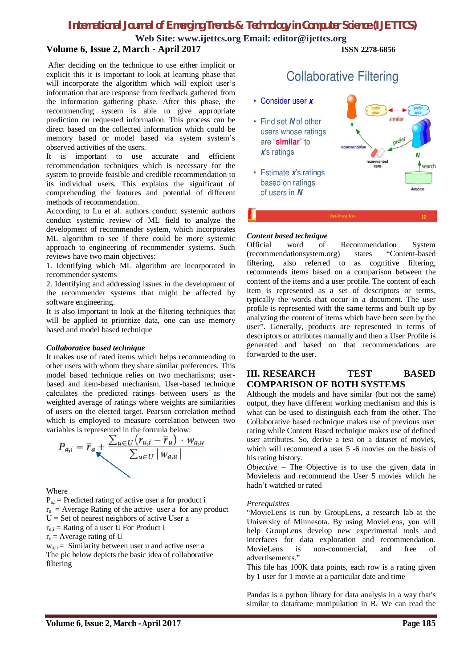### *International Journal of Emerging Trends & Technology in Computer Science (IJETTCS)*

**Web Site: www.ijettcs.org Email: editor@ijettcs.org Volume 6, Issue 2, March - April 2017 ISSN 2278-6856**

After deciding on the technique to use either implicit or explicit this it is important to look at learning phase that will incorporate the algorithm which will exploit user's information that are response from feedback gathered from the information gathering phase. After this phase, the recommending system is able to give appropriate prediction on requested information. This process can be direct based on the collected information which could be memory based or model based via system system's observed activities of the users.

It is important to use accurate and efficient recommendation techniques which is necessary for the system to provide feasible and credible recommendation to its individual users. This explains the significant of comprehending the features and potential of different methods of recommendation.

According to Lu et al. authors conduct systemic authors conduct systemic review of ML field to analyze the development of recommender system, which incorporates ML algorithm to see if there could be more systemic approach to engineering of recommender systems. Such reviews have two main objectives:

1. Identifying which ML algorithm are incorporated in recommender systems

2. Identifying and addressing issues in the development of the recommender systems that might be affected by software engineering.

It is also important to look at the filtering techniques that will be applied to prioritize data, one can use memory based and model based technique

#### *Collaborative based technique*

It makes use of rated items which helps recommending to other users with whom they share similar preferences. This model based technique relies on two mechanisms; userbased and item-based mechanism. User-based technique calculates the predicted ratings between users as the weighted average of ratings where weights are similarities of users on the elected target. Pearson correlation method which is employed to measure correlation between two



#### Where

 $P_{a,i}$  = Predicted rating of active user a for product i  $r_a$  = Average Rating of the active user a for any product  $U = Set$  of nearest neighbors of active User a

 $r_{u,i}$  = Rating of a user U For Product I

 $r_u$  = Average rating of U

 $w_{a,u}$  = Similarity between user u and active user a The pic below depicts the basic idea of collaborative filtering

## **Collaborative Filtering**

- Consider user x
- Find set N of other users whose ratings are "similar" to  $\vec{x}$ 's ratings
- $\cdot$  Estimate  $x$ 's ratings based on ratings of users in N

Viet-Trung Tran

similar

search

#### *Content based technique*

Official word of Recommendation System (recommendationsystem.org) states "Content-based filtering, also referred to as cognitive filtering, recommends items based on a comparison between the content of the items and a user profile. The content of each item is represented as a set of descriptors or terms, typically the words that occur in a document. The user profile is represented with the same terms and built up by analyzing the content of items which have been seen by the user". Generally, products are represented in terms of descriptors or attributes manually and then a User Profile is generated and based on that recommendations are forwarded to the user.

#### **III. RESEARCH TEST BASED COMPARISON OF BOTH SYSTEMS**

Although the models and have similar (but not the same) output, they have different working mechanism and this is what can be used to distinguish each from the other. The Collaborative based technique makes use of previous user rating while Content Based technique makes use of defined user attributes. So, derive a test on a dataset of movies, which will recommend a user 5 -6 movies on the basis of his rating history.

*Objective* – The Objective is to use the given data in Movielens and recommend the User 5 movies which he hadn't watched or rated

#### *Prerequisites*

"MovieLens is run by GroupLens, a research lab at the University of Minnesota. By using MovieLens, you will help GroupLens develop new experimental tools and interfaces for data exploration and recommendation. MovieLens is non-commercial, and free of advertisements."

This file has 100K data points, each row is a rating given by 1 user for 1 movie at a particular date and time

Pandas is a python library for data analysis in a way that's similar to dataframe manipulation in R. We can read the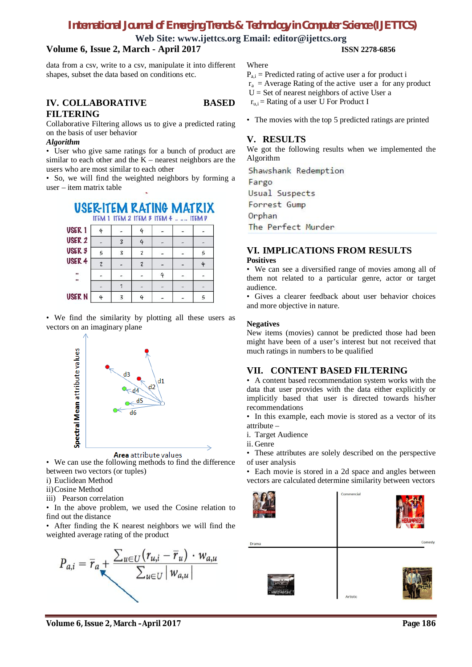### *International Journal of Emerging Trends & Technology in Computer Science (IJETTCS)*

**Web Site: www.ijettcs.org Email: editor@ijettcs.org**

#### **Volume 6, Issue 2, March - April 2017 ISSN 2278-6856**

data from a csv, write to a csv, manipulate it into different shapes, subset the data based on conditions etc.

#### **IV. COLLABORATIVE BASED FILTERING**

Collaborative Filtering allows us to give a predicted rating on the basis of user behavior

#### *Algorithm*

• User who give same ratings for a bunch of product are similar to each other and the  $K$  – nearest neighbors are the users who are most similar to each other

• So, we will find the weighted neighbors by forming a user – item matrix table

## USER-ITEM RATING MATRIX

ITEM 1 ITEM 2 ITEM 3 ITEM 4 .. ... ITEM D

| USER <sub>1</sub> | 4 |   | 4 |  |   |
|-------------------|---|---|---|--|---|
| USER <sub>2</sub> |   | 3 |   |  |   |
| USER <sub>3</sub> |   | 3 |   |  |   |
| USER 4            | 7 |   |   |  | 4 |
| <br>$\bullet$     |   |   |   |  |   |
|                   |   |   |   |  |   |
| <b>USERN</b>      | 4 | 3 |   |  |   |

• We find the similarity by plotting all these users as vectors on an imaginary plane



Area attribute values

• We can use the following methods to find the difference between two vectors (or tuples)

i) Euclidean Method

ii)Cosine Method

iii) Pearson correlation

• In the above problem, we used the Cosine relation to find out the distance

• After finding the K nearest neighbors we will find the weighted average rating of the product



**Where** 

- $P_{a,i}$  = Predicted rating of active user a for product i
- $r_a$  = Average Rating of the active user a for any product
- $U =$  Set of nearest neighbors of active User a

 $r_{\text{u}}$  = Rating of a user U For Product I

• The movies with the top 5 predicted ratings are printed

#### **V. RESULTS**

We got the following results when we implemented the Algorithm

Shawshank Redemption Fargo Usual Suspects Forrest Gump Orphan The Perfect Murder

**VI. IMPLICATIONS FROM RESULTS**

#### **Positives**

• We can see a diversified range of movies among all of them not related to a particular genre, actor or target audience.

• Gives a clearer feedback about user behavior choices and more objective in nature.

#### **Negatives**

New items (movies) cannot be predicted those had been might have been of a user's interest but not received that much ratings in numbers to be qualified

#### **VII. CONTENT BASED FILTERING**

• A content based recommendation system works with the data that user provides with the data either explicitly or implicitly based that user is directed towards his/her recommendations

• In this example, each movie is stored as a vector of its attribute –

- i. Target Audience
- ii. Genre

• These attributes are solely described on the perspective of user analysis

• Each movie is stored in a 2d space and angles between vectors are calculated determine similarity between vectors